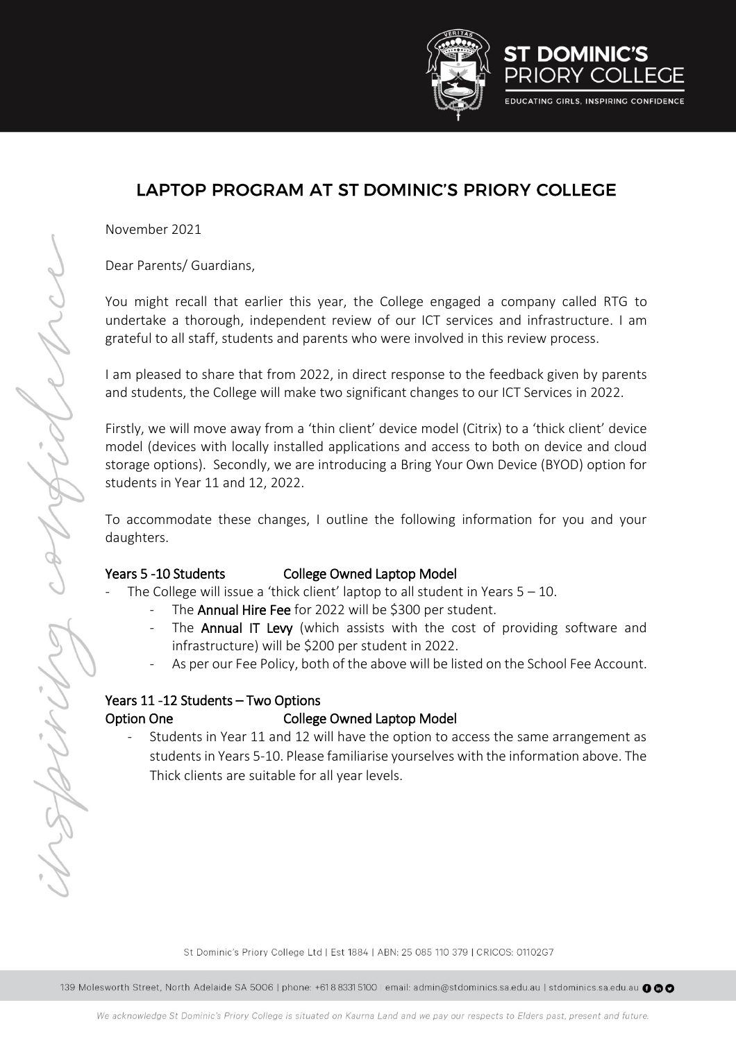

## LAPTOP PROGRAM AT ST DOMINIC'S PRIORY COLLEGE

November 2021

Dear Parents/ Guardians,

You might recall that earlier this year, the College engaged a company called RTG to undertake a thorough, independent review of our ICT services and infrastructure. I am grateful to all staff, students and parents who were involved in this review process.

I am pleased to share that from 2022, in direct response to the feedback given by parents and students, the College will make two significant changes to our ICT Services in 2022.

Firstly, we will move away from a 'thin client' device model (Citrix) to a 'thick client' device model (devices with locally installed applications and access to both on device and cloud storage options). Secondly, we are introducing a Bring Your Own Device (BYOD) option for students in Year 11 and 12, 2022.

To accommodate these changes, I outline the following information for you and your daughters.

108

Spirin

#### Years 5 -10 Students College Owned Laptop Model

- The College will issue a 'thick client' laptop to all student in Years  $5 10$ .
	- The Annual Hire Fee for 2022 will be \$300 per student.
	- The Annual IT Levy (which assists with the cost of providing software and infrastructure) will be \$200 per student in 2022.
	- As per our Fee Policy, both of the above will be listed on the School Fee Account.

### Years 11 -12 Students – Two Options Option One College Owned Laptop Model

Students in Year 11 and 12 will have the option to access the same arrangement as students in Years 5-10. Please familiarise yourselves with the information above. The Thick clients are suitable for all year levels.

St Dominic's Priory College Ltd | Est 1884 | ABN: 25 085 110 379 | CRICOS: 01102G7

139 Molesworth Street, North Adelaide SA 5006 | phone: +618 8331 5100 | email: admin@stdominics.sa.edu.au | stdominics.sa.edu.au @ @ @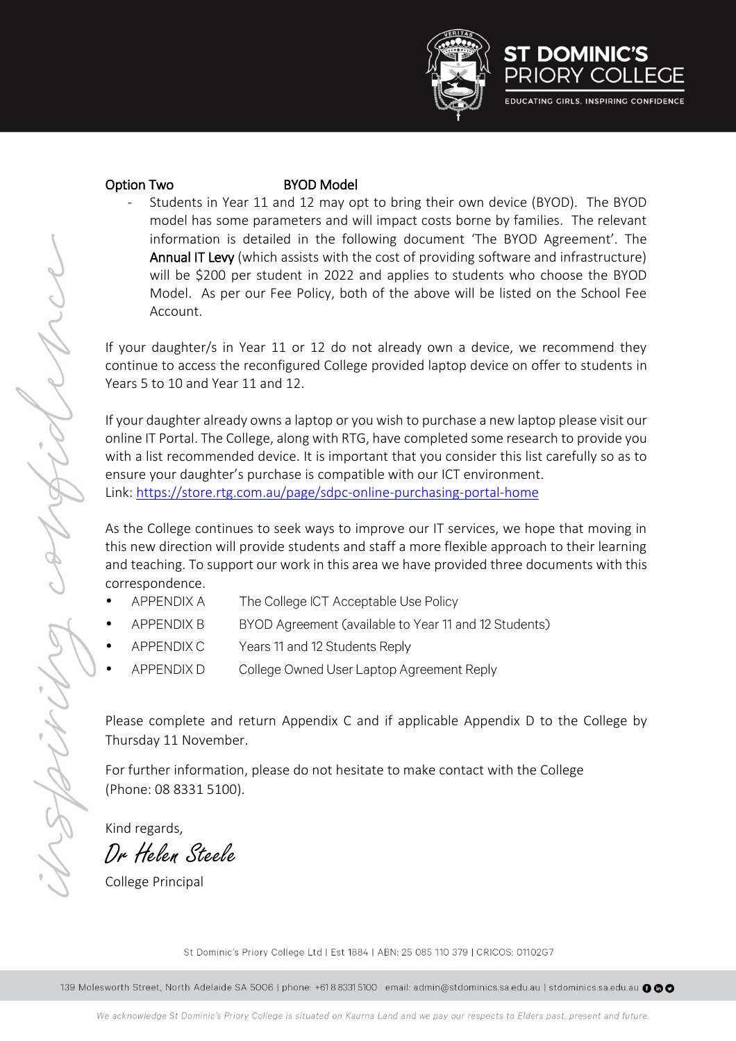



NAV

Wings

### Option Two **BYOD** Model

Students in Year 11 and 12 may opt to bring their own device (BYOD). The BYOD model has some parameters and will impact costs borne by families. The relevant information is detailed in the following document 'The BYOD Agreement'. The Annual IT Levy (which assists with the cost of providing software and infrastructure) will be \$200 per student in 2022 and applies to students who choose the BYOD Model. As per our Fee Policy, both of the above will be listed on the School Fee Account.

If your daughter/s in Year 11 or 12 do not already own a device, we recommend they continue to access the reconfigured College provided laptop device on offer to students in Years 5 to 10 and Year 11 and 12.

If your daughter already owns a laptop or you wish to purchase a new laptop please visit our online IT Portal. The College, along with RTG, have completed some research to provide you with a list recommended device. It is important that you consider this list carefully so as to ensure your daughter's purchase is compatible with our ICT environment. Link: <https://store.rtg.com.au/page/sdpc-online-purchasing-portal-home>

As the College continues to seek ways to improve our IT services, we hope that moving in this new direction will provide students and staff a more flexible approach to their learning and teaching. To support our work in this area we have provided three documents with this correspondence.

- **APPENDIX A** The College ICT Acceptable Use Policy •
- APPENDIX B BYOD Agreement (available to Year 11 and 12 Students)
- APPENDIX C Years 11 and 12 Students Reply •
- APPENDIX D College Owned User Laptop Agreement Reply

Please complete and return Appendix C and if applicable Appendix D to the College by Thursday 11 November.

For further information, please do not hesitate to make contact with the College (Phone: 08 8331 5100).

Kind regards,

Dr Helen Steele

College Principal

St Dominic's Priory College Ltd | Est 1884 | ABN: 25 085 110 379 | CRICOS: 01102G7

139 Molesworth Street, North Adelaide SA 5006 | phone: +618 8331 5100 | email: admin@stdominics.sa.edu.au | stdominics.sa.edu.au @@@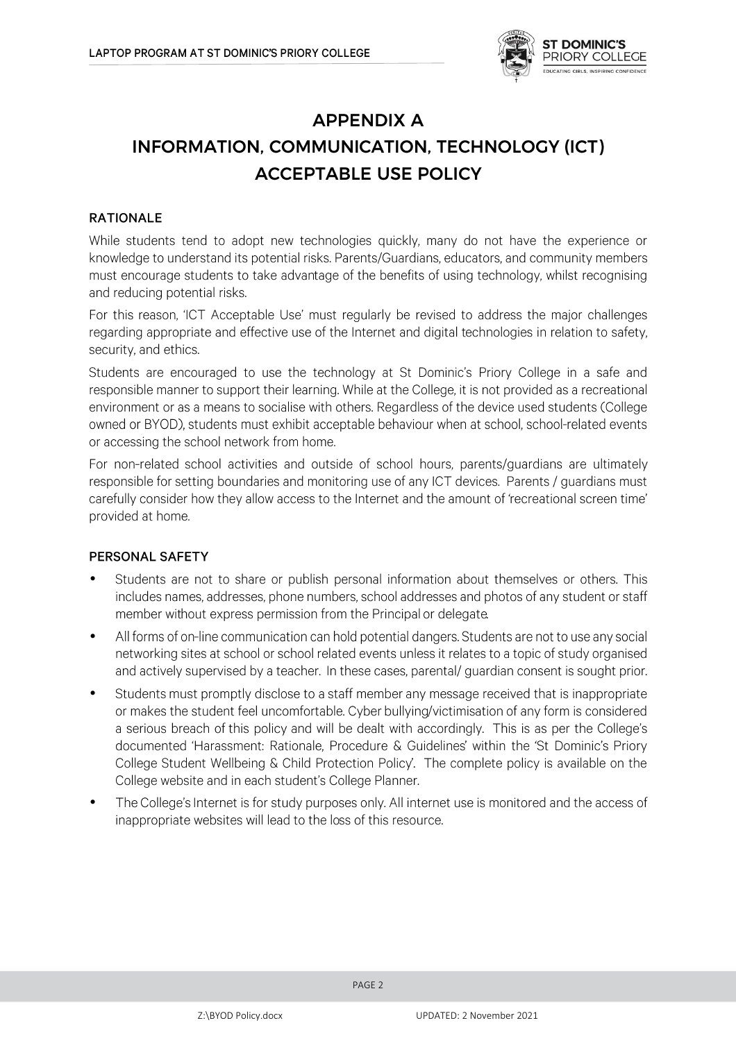

# **APPENDIX A** INFORMATION, COMMUNICATION, TECHNOLOGY (ICT) **ACCEPTABLE USE POLICY**

### **RATIONALE**

While students tend to adopt new technologies quickly, many do not have the experience or knowledge to understand its potential risks. Parents/Guardians, educators, and community members must encourage students to take advantage of the benefits of using technology, whilst recognising and reducing potential risks.

For this reason, 'ICT Acceptable Use' must regularly be revised to address the major challenges regarding appropriate and effective use of the Internet and digital technologies in relation to safety, security, and ethics.

Students are encouraged to use the technology at St Dominic's Priory College in a safe and responsible manner to support their learning. While at the College, it is not provided as a recreational environment or as a means to socialise with others. Regardless of the device used students (College owned or BYOD), students must exhibit acceptable behaviour when at school, school-related events or accessing the school network from home.

For non-related school activities and outside of school hours, parents/guardians are ultimately responsible for setting boundaries and monitoring use of any ICT devices. Parents / guardians must carefully consider how they allow access to the Internet and the amount of 'recreational screen time' provided at home.

### PERSONAL SAFETY

- Students are not to share or publish personal information about themselves or others. This includes names, addresses, phone numbers, school addresses and photos of any student or staff member without express permission from the Principal or delegate.
- All forms of on-line communication can hold potential dangers. Students are not to use any social networking sites at school or school related events unless it relates to a topic of study organised and actively supervised by a teacher. In these cases, parental/ guardian consent is sought prior.
- Students must promptly disclose to a staff member any message received that is inappropriate • or makes the student feel uncomfortable. Cyber bullying/victimisation of any form is considered a serious breach of this policy and will be dealt with accordingly. This is as per the College's documented 'Harassment: Rationale, Procedure & Guidelines' within the 'St Dominic's Priory College Student Wellbeing & Child Protection Policy'. The complete policy is available on the College website and in each student's College Planner.
- The College's Internet is for study purposes only. All internet use is monitored and the access of • inappropriate websites will lead to the loss of this resource.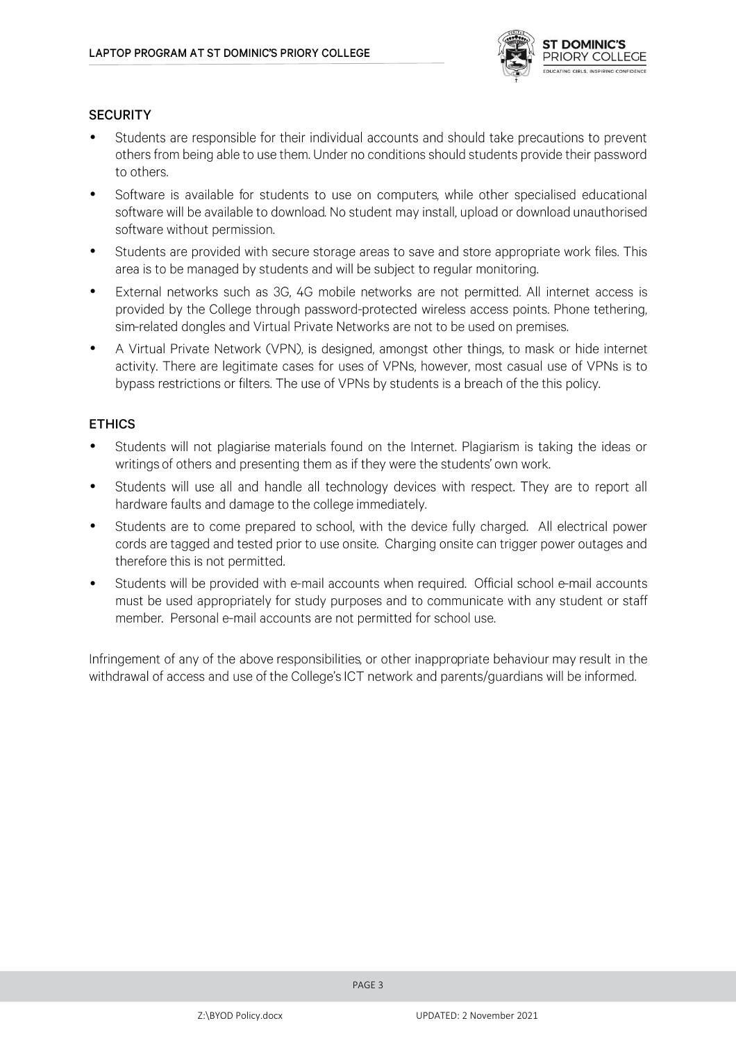

### **SECURITY**

- Students are responsible for their individual accounts and should take precautions to prevent • others from being able to use them. Under no conditions should students provide their password to others.
- Software is available for students to use on computers, while other specialised educational software will be available to download. No student may install, upload or download unauthorised software without permission.
- Students are provided with secure storage areas to save and store appropriate work files. This • area is to be managed by students and will be subject to regular monitoring.
- External networks such as 3G, 4G mobile networks are not permitted. All internet access is • provided by the College through password-protected wireless access points. Phone tethering, sim-related dongles and Virtual Private Networks are not to be used on premises.
- A Virtual Private Network (VPN), is designed, amongst other things, to mask or hide internet • activity. There are legitimate cases for uses of VPNs, however, most casual use of VPNs is to bypass restrictions or filters. The use of VPNs by students is a breach of the this policy.

#### **ETHICS**

- Students will not plagiarise materials found on the Internet. Plagiarism is taking the ideas or writings of others and presenting them as if they were the students' own work.
- Students will use all and handle all technology devices with respect. They are to report all • hardware faults and damage to the college immediately.
- Students are to come prepared to school, with the device fully charged. All electrical power • cords are tagged and tested prior to use onsite. Charging onsite can trigger power outages and therefore this is not permitted.
- Students will be provided with e-mail accounts when required. Official school e-mail accounts must be used appropriately for study purposes and to communicate with any student or staff member. Personal e-mail accounts are not permitted for school use.

Infringement of any of the above responsibilities, or other inappropriate behaviour may result in the withdrawal of access and use of the College's ICT network and parents/guardians will be informed.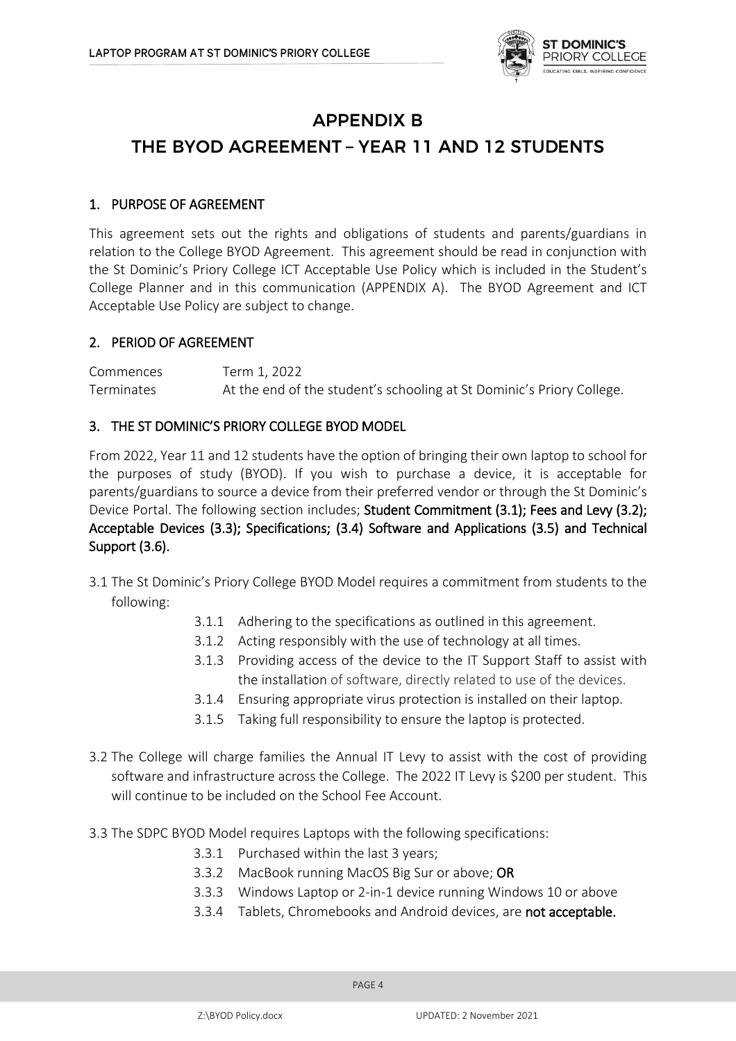

### **APPENDIX B**

# THE BYOD AGREEMENT - YEAR 11 AND 12 STUDENTS

### 1. PURPOSE OF AGREEMENT

This agreement sets out the rights and obligations of students and parents/guardians in relation to the College BYOD Agreement. This agreement should be read in conjunction with the St Dominic's Priory College ICT Acceptable Use Policy which is included in the Student's College Planner and in this communication (APPENDIX A). The BYOD Agreement and ICT Acceptable Use Policy are subject to change.

### 2. PERIOD OF AGREEMENT

Commences Term 1, 2022 Terminates At the end of the student's schooling at St Dominic's Priory College.

### 3. THE ST DOMINIC'S PRIORY COLLEGE BYOD MODEL

From 2022, Year 11 and 12 students have the option of bringing their own laptop to school for the purposes of study (BYOD). If you wish to purchase a device, it is acceptable for parents/guardians to source a device from their preferred vendor or through the St Dominic's Device Portal. The following section includes; Student Commitment (3.1); Fees and Levy (3.2); Acceptable Devices (3.3); Specifications; (3.4) Software and Applications (3.5) and Technical Support (3.6).

- 3.1 The St Dominic's Priory College BYOD Model requires a commitment from students to the following:
	- 3.1.1 Adhering to the specifications as outlined in this agreement.
	- 3.1.2 Acting responsibly with the use of technology at all times.
	- 3.1.3 Providing access of the device to the IT Support Staff to assist with the installation of software, directly related to use of the devices.
	- 3.1.4 Ensuring appropriate virus protection is installed on their laptop.
	- 3.1.5 Taking full responsibility to ensure the laptop is protected.
- 3.2 The College will charge families the Annual IT Levy to assist with the cost of providing software and infrastructure across the College. The 2022 IT Levy is \$200 per student. This will continue to be included on the School Fee Account.
- 3.3 The SDPC BYOD Model requires Laptops with the following specifications:
	- 3.3.1 Purchased within the last 3 years;
	- 3.3.2 MacBook running MacOS Big Sur or above; OR
	- 3.3.3 Windows Laptop or 2-in-1 device running Windows 10 or above
	- 3.3.4 Tablets, Chromebooks and Android devices, are not acceptable.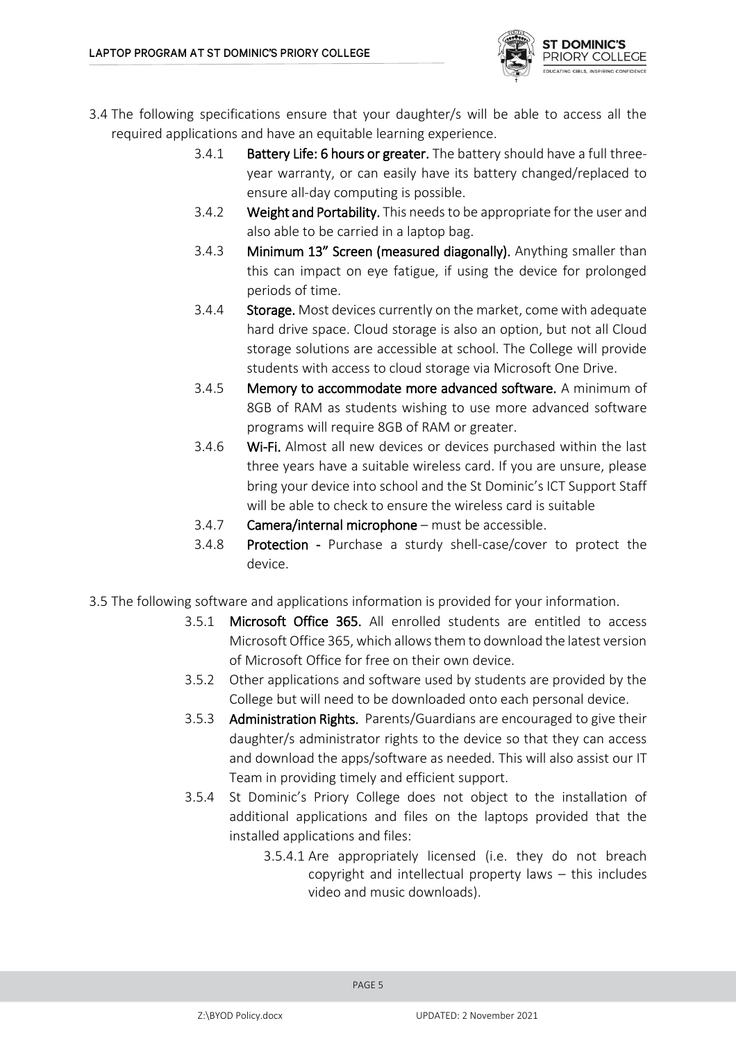

- 3.4 The following specifications ensure that your daughter/s will be able to access all the required applications and have an equitable learning experience.
	- 3.4.1 Battery Life: 6 hours or greater. The battery should have a full threeyear warranty, or can easily have its battery changed/replaced to ensure all-day computing is possible.
	- 3.4.2 Weight and Portability. This needs to be appropriate for the user and also able to be carried in a laptop bag.
	- 3.4.3 Minimum 13" Screen (measured diagonally). Anything smaller than this can impact on eye fatigue, if using the device for prolonged periods of time.
	- 3.4.4 Storage. Most devices currently on the market, come with adequate hard drive space. Cloud storage is also an option, but not all Cloud storage solutions are accessible at school. The College will provide students with access to cloud storage via Microsoft One Drive.
	- 3.4.5 Memory to accommodate more advanced software. A minimum of 8GB of RAM as students wishing to use more advanced software programs will require 8GB of RAM or greater.
	- 3.4.6 Wi-Fi. Almost all new devices or devices purchased within the last three years have a suitable wireless card. If you are unsure, please bring your device into school and the St Dominic's ICT Support Staff will be able to check to ensure the wireless card is suitable
	- 3.4.7 Camera/internal microphone must be accessible.
	- 3.4.8 **Protection** Purchase a sturdy shell-case/cover to protect the device.
- 3.5 The following software and applications information is provided for your information.
	- 3.5.1 Microsoft Office 365. All enrolled students are entitled to access Microsoft Office 365, which allows them to download the latest version of Microsoft Office for free on their own device.
	- 3.5.2 Other applications and software used by students are provided by the College but will need to be downloaded onto each personal device.
	- 3.5.3 Administration Rights. Parents/Guardians are encouraged to give their daughter/s administrator rights to the device so that they can access and download the apps/software as needed. This will also assist our IT Team in providing timely and efficient support.
	- 3.5.4 St Dominic's Priory College does not object to the installation of additional applications and files on the laptops provided that the installed applications and files:
		- 3.5.4.1 Are appropriately licensed (i.e. they do not breach copyright and intellectual property laws – this includes video and music downloads).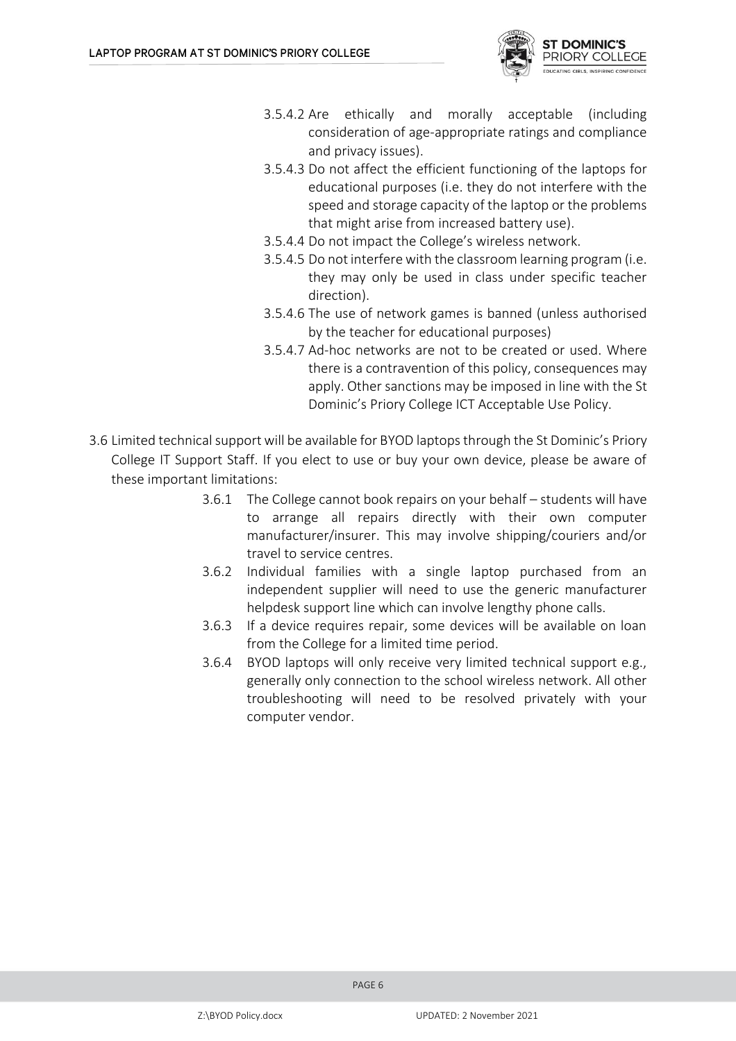

- 3.5.4.2 Are ethically and morally acceptable (including consideration of age-appropriate ratings and compliance and privacy issues).
- 3.5.4.3 Do not affect the efficient functioning of the laptops for educational purposes (i.e. they do not interfere with the speed and storage capacity of the laptop or the problems that might arise from increased battery use).
- 3.5.4.4 Do not impact the College's wireless network.
- 3.5.4.5 Do not interfere with the classroom learning program (i.e. they may only be used in class under specific teacher direction).
- 3.5.4.6 The use of network games is banned (unless authorised by the teacher for educational purposes)
- 3.5.4.7 Ad-hoc networks are not to be created or used. Where there is a contravention of this policy, consequences may apply. Other sanctions may be imposed in line with the St Dominic's Priory College ICT Acceptable Use Policy.
- 3.6 Limited technical support will be available for BYOD laptops through the St Dominic's Priory College IT Support Staff. If you elect to use or buy your own device, please be aware of these important limitations:
	- 3.6.1 The College cannot book repairs on your behalf students will have to arrange all repairs directly with their own computer manufacturer/insurer. This may involve shipping/couriers and/or travel to service centres.
	- 3.6.2 Individual families with a single laptop purchased from an independent supplier will need to use the generic manufacturer helpdesk support line which can involve lengthy phone calls.
	- 3.6.3 If a device requires repair, some devices will be available on loan from the College for a limited time period.
	- 3.6.4 BYOD laptops will only receive very limited technical support e.g., generally only connection to the school wireless network. All other troubleshooting will need to be resolved privately with your computer vendor.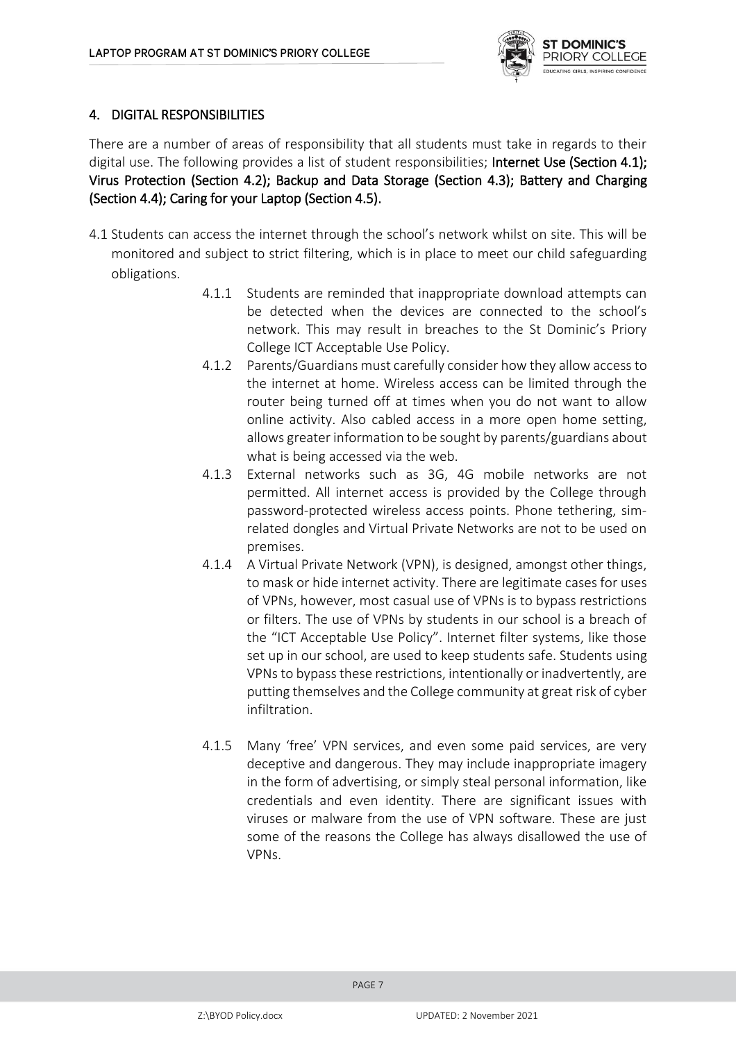

### 4. DIGITAL RESPONSIBILITIES

There are a number of areas of responsibility that all students must take in regards to their digital use. The following provides a list of student responsibilities; Internet Use (Section 4.1); Virus Protection (Section 4.2); Backup and Data Storage (Section 4.3); Battery and Charging (Section 4.4); Caring for your Laptop (Section 4.5).

- 4.1 Students can access the internet through the school's network whilst on site. This will be monitored and subject to strict filtering, which is in place to meet our child safeguarding obligations.
	- 4.1.1 Students are reminded that inappropriate download attempts can be detected when the devices are connected to the school's network. This may result in breaches to the St Dominic's Priory College ICT Acceptable Use Policy.
	- 4.1.2 Parents/Guardians must carefully consider how they allow access to the internet at home. Wireless access can be limited through the router being turned off at times when you do not want to allow online activity. Also cabled access in a more open home setting, allows greater information to be sought by parents/guardians about what is being accessed via the web.
	- 4.1.3 External networks such as 3G, 4G mobile networks are not permitted. All internet access is provided by the College through password-protected wireless access points. Phone tethering, simrelated dongles and Virtual Private Networks are not to be used on premises.
	- 4.1.4 A Virtual Private Network (VPN), is designed, amongst other things, to mask or hide internet activity. There are legitimate cases for uses of VPNs, however, most casual use of VPNs is to bypass restrictions or filters. The use of VPNs by students in our school is a breach of the "ICT Acceptable Use Policy". Internet filter systems, like those set up in our school, are used to keep students safe. Students using VPNs to bypass these restrictions, intentionally or inadvertently, are putting themselves and the College community at great risk of cyber infiltration.
	- 4.1.5 Many 'free' VPN services, and even some paid services, are very deceptive and dangerous. They may include inappropriate imagery in the form of advertising, or simply steal personal information, like credentials and even identity. There are significant issues with viruses or malware from the use of VPN software. These are just some of the reasons the College has always disallowed the use of VPNs.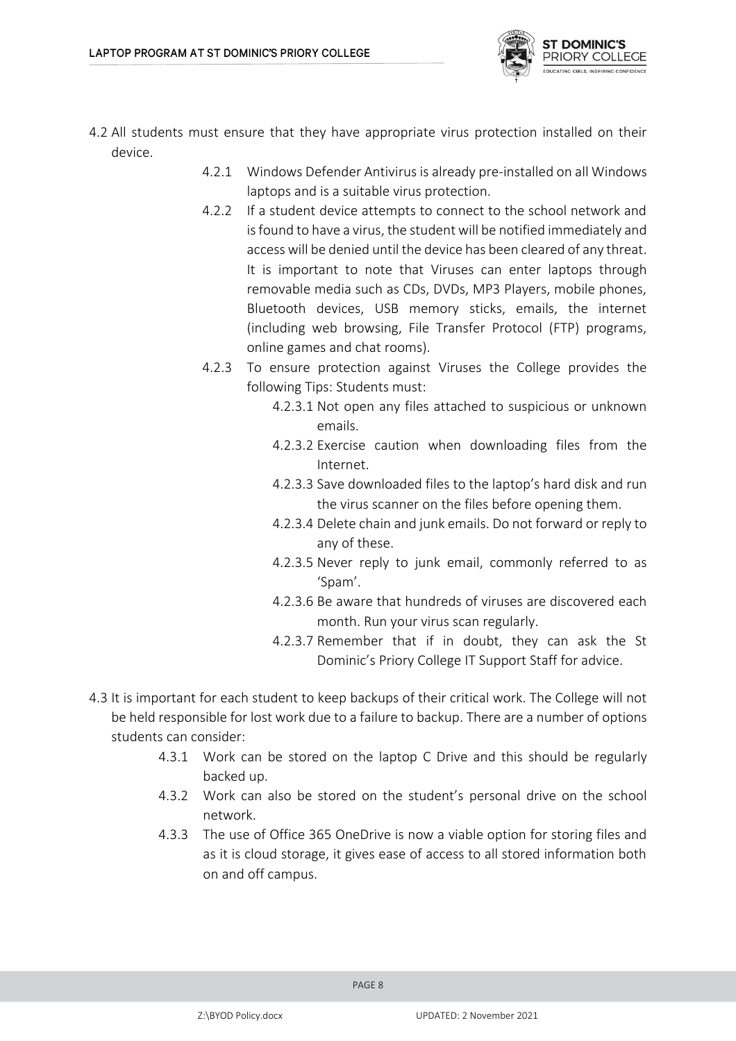

- 4.2 All students must ensure that they have appropriate virus protection installed on their device.
	- 4.2.1 Windows Defender Antivirus is already pre-installed on all Windows laptops and is a suitable virus protection.
	- 4.2.2 If a student device attempts to connect to the school network and is found to have a virus, the student will be notified immediately and access will be denied until the device has been cleared of any threat. It is important to note that Viruses can enter laptops through removable media such as CDs, DVDs, MP3 Players, mobile phones, Bluetooth devices, USB memory sticks, emails, the internet (including web browsing, File Transfer Protocol (FTP) programs, online games and chat rooms).
	- 4.2.3 To ensure protection against Viruses the College provides the following Tips: Students must:
		- 4.2.3.1 Not open any files attached to suspicious or unknown emails.
		- 4.2.3.2 Exercise caution when downloading files from the Internet.
		- 4.2.3.3 Save downloaded files to the laptop's hard disk and run the virus scanner on the files before opening them.
		- 4.2.3.4 Delete chain and junk emails. Do not forward or reply to any of these.
		- 4.2.3.5 Never reply to junk email, commonly referred to as 'Spam'.
		- 4.2.3.6 Be aware that hundreds of viruses are discovered each month. Run your virus scan regularly.
		- 4.2.3.7 Remember that if in doubt, they can ask the St Dominic's Priory College IT Support Staff for advice.
- 4.3 It is important for each student to keep backups of their critical work. The College will not be held responsible for lost work due to a failure to backup. There are a number of options students can consider:
	- 4.3.1 Work can be stored on the laptop C Drive and this should be regularly backed up.
	- 4.3.2 Work can also be stored on the student's personal drive on the school network.
	- 4.3.3 The use of Office 365 OneDrive is now a viable option for storing files and as it is cloud storage, it gives ease of access to all stored information both on and off campus.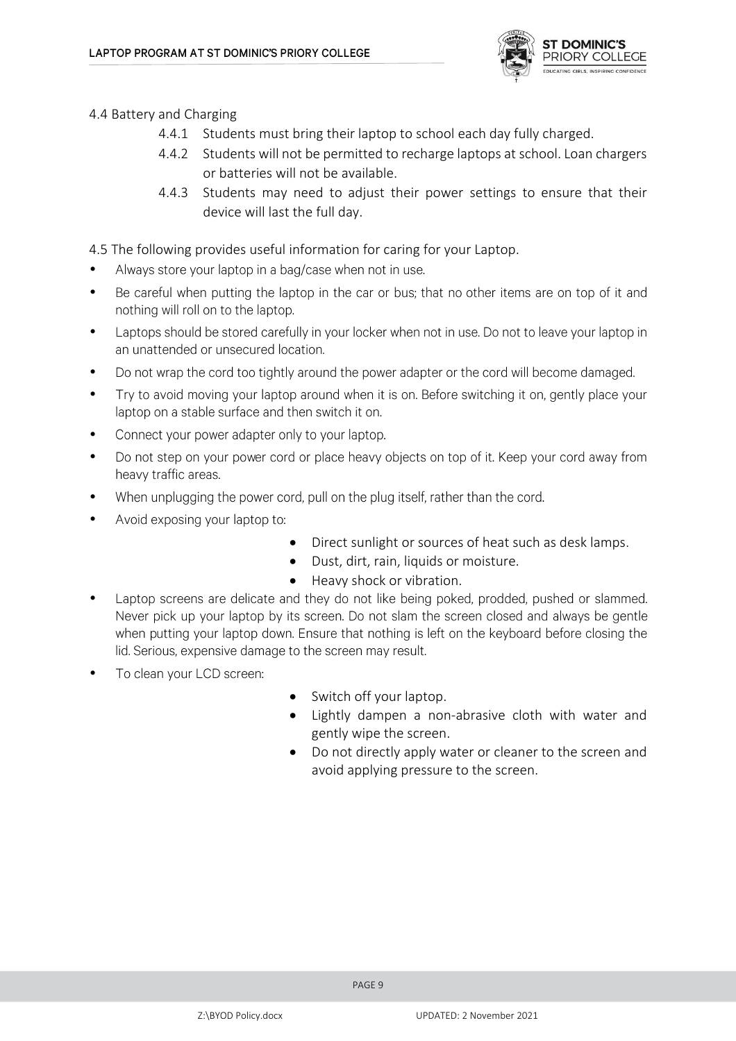

4.4 Battery and Charging

- 4.4.1 Students must bring their laptop to school each day fully charged.
- 4.4.2 Students will not be permitted to recharge laptops at school. Loan chargers or batteries will not be available.
- 4.4.3 Students may need to adjust their power settings to ensure that their device will last the full day.

4.5 The following provides useful information for caring for your Laptop.

- Always store your laptop in a bag/case when not in use. •
- Be careful when putting the laptop in the car or bus; that no other items are on top of it and • nothing will roll on to the laptop.
- Laptops should be stored carefully in your locker when not in use. Do not to leave your laptop in • an unattended or unsecured location.
- Do not wrap the cord too tightly around the power adapter or the cord will become damaged. •
- Try to avoid moving your laptop around when it is on. Before switching it on, gently place your • laptop on a stable surface and then switch it on.
- Connect your power adapter only to your laptop.
- Do not step on your power cord or place heavy objects on top of it. Keep your cord away from • heavy traffic areas.
- When unplugging the power cord, pull on the plug itself, rather than the cord. •
- Avoid exposing your laptop to: •
	- Direct sunlight or sources of heat such as desk lamps.
	- Dust, dirt, rain, liquids or moisture.
	- Heavy shock or vibration.
- Laptop screens are delicate and they do not like being poked, prodded, pushed or slammed. • Never pick up your laptop by its screen. Do not slam the screen closed and always be gentle when putting your laptop down. Ensure that nothing is left on the keyboard before closing the lid. Serious, expensive damage to the screen may result.
- To clean your LCD screen: •
- Switch off your laptop.
- Lightly dampen a non-abrasive cloth with water and gently wipe the screen.
- Do not directly apply water or cleaner to the screen and avoid applying pressure to the screen.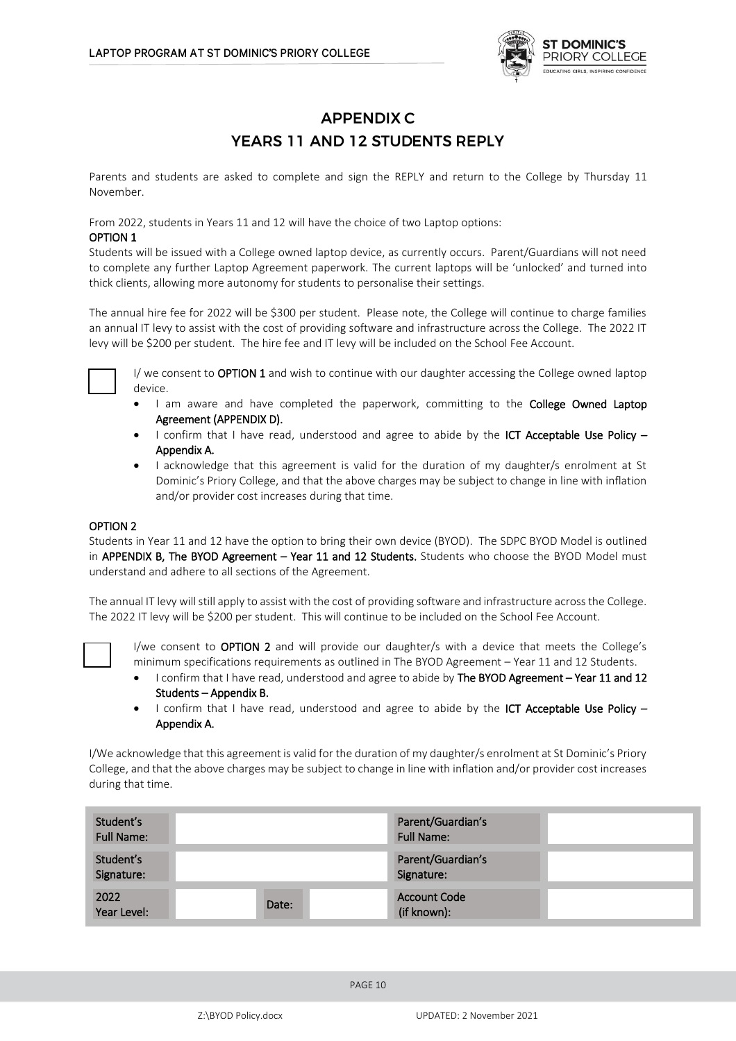

### **APPENDIX C** YEARS 11 AND 12 STUDENTS REPLY

Parents and students are asked to complete and sign the REPLY and return to the College by Thursday 11 November.

From 2022, students in Years 11 and 12 will have the choice of two Laptop options:

#### OPTION 1

Students will be issued with a College owned laptop device, as currently occurs. Parent/Guardians will not need to complete any further Laptop Agreement paperwork. The current laptops will be 'unlocked' and turned into thick clients, allowing more autonomy for students to personalise their settings.

The annual hire fee for 2022 will be \$300 per student. Please note, the College will continue to charge families an annual IT levy to assist with the cost of providing software and infrastructure across the College. The 2022 IT levy will be \$200 per student. The hire fee and IT levy will be included on the School Fee Account.



I/ we consent to **OPTION 1** and wish to continue with our daughter accessing the College owned laptop device.

- I am aware and have completed the paperwork, committing to the College Owned Laptop Agreement (APPENDIX D).
- I confirm that I have read, understood and agree to abide by the ICT Acceptable Use Policy -Appendix A.
- I acknowledge that this agreement is valid for the duration of my daughter/s enrolment at St Dominic's Priory College, and that the above charges may be subject to change in line with inflation and/or provider cost increases during that time.

#### OPTION 2

Students in Year 11 and 12 have the option to bring their own device (BYOD). The SDPC BYOD Model is outlined in APPENDIX B, The BYOD Agreement - Year 11 and 12 Students. Students who choose the BYOD Model must understand and adhere to all sections of the Agreement.

The annual IT levy will still apply to assist with the cost of providing software and infrastructure across the College. The 2022 IT levy will be \$200 per student. This will continue to be included on the School Fee Account.



I/we consent to OPTION 2 and will provide our daughter/s with a device that meets the College's minimum specifications requirements as outlined in The BYOD Agreement – Year 11 and 12 Students.

- I confirm that I have read, understood and agree to abide by The BYOD Agreement Year 11 and 12 Students – Appendix B.
- I confirm that I have read, understood and agree to abide by the ICT Acceptable Use Policy -Appendix A.

I/We acknowledge that this agreement is valid for the duration of my daughter/s enrolment at St Dominic's Priory College, and that the above charges may be subject to change in line with inflation and/or provider cost increases during that time.

| Student's<br><b>Full Name:</b> |       | Parent/Guardian's<br><b>Full Name:</b> |  |
|--------------------------------|-------|----------------------------------------|--|
| Student's<br>Signature:        |       | Parent/Guardian's<br>Signature:        |  |
| 2022<br>Year Level:            | Date: | <b>Account Code</b><br>(if known):     |  |